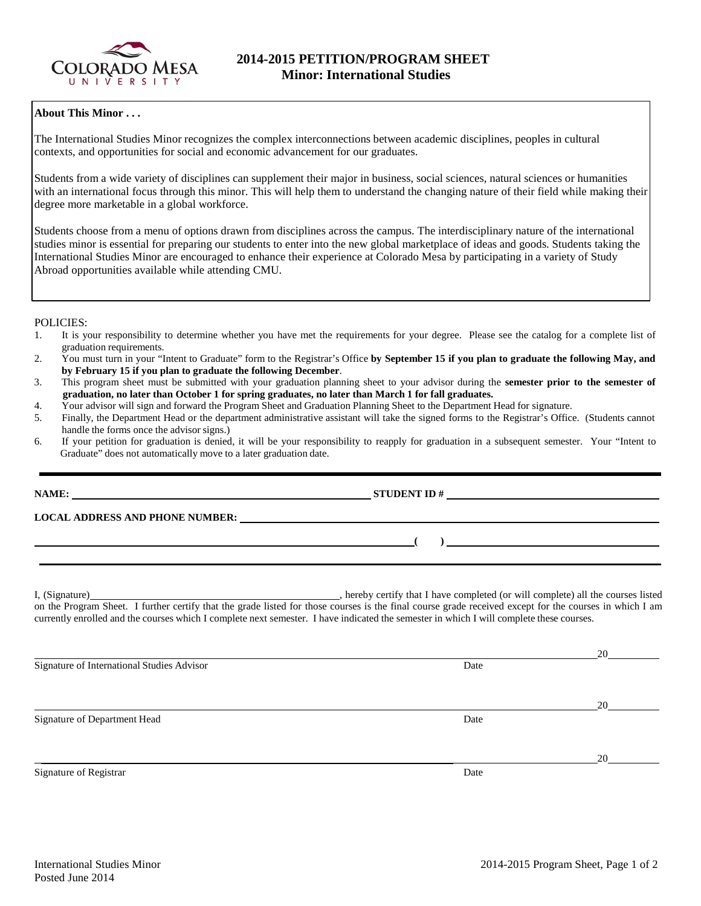

# **About This Minor . . .**

The International Studies Minor recognizes the complex interconnections between academic disciplines, peoples in cultural contexts, and opportunities for social and economic advancement for our graduates.

Students from a wide variety of disciplines can supplement their major in business, social sciences, natural sciences or humanities with an international focus through this minor. This will help them to understand the changing nature of their field while making their degree more marketable in a global workforce.

Students choose from a menu of options drawn from disciplines across the campus. The interdisciplinary nature of the international studies minor is essential for preparing our students to enter into the new global marketplace of ideas and goods. Students taking the International Studies Minor are encouraged to enhance their experience at Colorado Mesa by participating in a variety of Study Abroad opportunities available while attending CMU.

# POLICIES:

- 1. It is your responsibility to determine whether you have met the requirements for your degree. Please see the catalog for a complete list of graduation requirements.
- 2. You must turn in your "Intent to Graduate" form to the Registrar's Office **by September 15 if you plan to graduate the following May, and by February 15 if you plan to graduate the following December**.
- 3. This program sheet must be submitted with your graduation planning sheet to your advisor during the **semester prior to the semester of graduation, no later than October 1 for spring graduates, no later than March 1 for fall graduates.**
- 4. Your advisor will sign and forward the Program Sheet and Graduation Planning Sheet to the Department Head for signature.
- 5. Finally, the Department Head or the department administrative assistant will take the signed forms to the Registrar's Office. (Students cannot handle the forms once the advisor signs.)
- 6. If your petition for graduation is denied, it will be your responsibility to reapply for graduation in a subsequent semester. Your "Intent to Graduate" does not automatically move to a later graduation date.

**NAME:** STUDENT ID #

**LOCAL ADDRESS AND PHONE NUMBER:**

I, (Signature) , hereby certify that I have completed (or will complete) all the courses listed on the Program Sheet. I further certify that the grade listed for those courses is the final course grade received except for the courses in which I am currently enrolled and the courses which I complete next semester. I have indicated the semester in which I will complete these courses.

**( )** 

20 Signature of International Studies Advisor Date 20 Signature of Department Head Date 20 Signature of Registrar Date and Separature of Registrar Date and Separature of Registrar Date